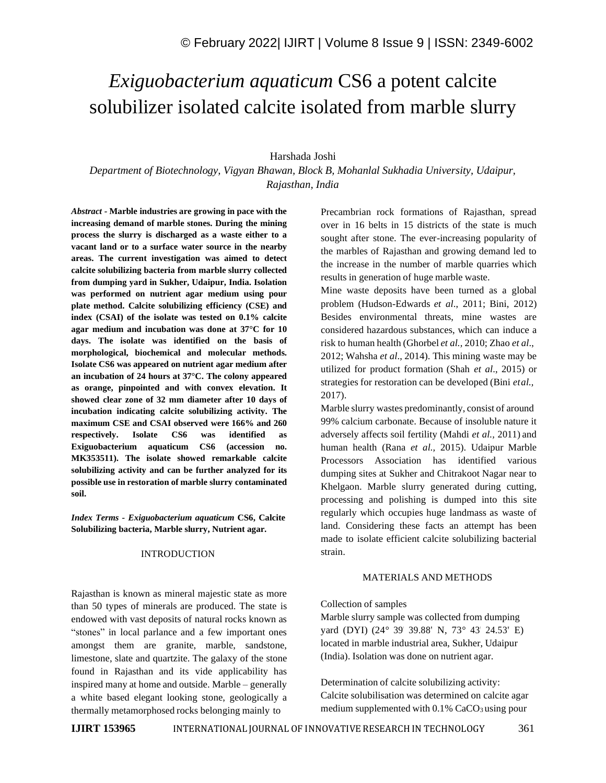# *Exiguobacterium aquaticum* CS6 a potent calcite solubilizer isolated calcite isolated from marble slurry

## Harshada Joshi

*Department of Biotechnology, Vigyan Bhawan, Block B, Mohanlal Sukhadia University, Udaipur, Rajasthan, India*

*Abstract -* **Marble industries are growing in pace with the increasing demand of marble stones. During the mining process the slurry is discharged as a waste either to a vacant land or to a surface water source in the nearby areas. The current investigation was aimed to detect calcite solubilizing bacteria from marble slurry collected from dumping yard in Sukher, Udaipur, India. Isolation was performed on nutrient agar medium using pour plate method. Calcite solubilizing efficiency (CSE) and index (CSAI) of the isolate was tested on 0.1% calcite agar medium and incubation was done at 37°C for 10 days. The isolate was identified on the basis of morphological, biochemical and molecular methods. Isolate CS6 was appeared on nutrient agar medium after an incubation of 24 hours at 37°C. The colony appeared as orange, pinpointed and with convex elevation. It showed clear zone of 32 mm diameter after 10 days of incubation indicating calcite solubilizing activity. The maximum CSE and CSAI observed were 166% and 260 respectively. Isolate CS6 was identified as Exiguobacterium aquaticum CS6 (accession no. MK353511). The isolate showed remarkable calcite solubilizing activity and can be further analyzed for its possible use in restoration of marble slurry contaminated soil.**

*Index Terms - Exiguobacterium aquaticum* **CS6, Calcite Solubilizing bacteria, Marble slurry, Nutrient agar.**

## INTRODUCTION

Rajasthan is known as mineral majestic state as more than 50 types of minerals are produced. The state is endowed with vast deposits of natural rocks known as "stones" in local parlance and a few important ones amongst them are granite, marble, sandstone, limestone, slate and quartzite. The galaxy of the stone found in Rajasthan and its vide applicability has inspired many at home and outside. Marble – generally a white based elegant looking stone, geologically a thermally metamorphosed rocks belonging mainly to

Precambrian rock formations of Rajasthan, spread over in 16 belts in 15 districts of the state is much sought after stone. The ever-increasing popularity of the marbles of Rajasthan and growing demand led to the increase in the number of marble quarries which results in generation of huge marble waste.

Mine waste deposits have been turned as a global problem (Hudson-Edwards *et al*., 2011; Bini, 2012) Besides environmental threats, mine wastes are considered hazardous substances, which can induce a risk to human health (Ghorbel *et al.,* 2010; Zhao *et al*., 2012; Wahsha *et al*., 2014). This mining waste may be utilized for product formation (Shah *et al*., 2015) or strategies for restoration can be developed (Bini *etal.,* 2017).

Marble slurry wastes predominantly, consist of around 99% calcium carbonate. Because of insoluble nature it adversely affects soil fertility (Mahdi *et al.,* 2011) and human health (Rana *et al.,* 2015). Udaipur Marble Processors Association has identified various dumping sites at Sukher and Chitrakoot Nagar near to Khelgaon. Marble slurry generated during cutting, processing and polishing is dumped into this site regularly which occupies huge landmass as waste of land. Considering these facts an attempt has been made to isolate efficient calcite solubilizing bacterial strain.

### MATERIALS AND METHODS

#### Collection of samples

Marble slurry sample was collected from dumping yard (DYI) (24° 39' 39.88' N, 73° 43' 24.53' E) located in marble industrial area, Sukher, Udaipur (India). Isolation was done on nutrient agar.

Determination of calcite solubilizing activity: Calcite solubilisation was determined on calcite agar medium supplemented with  $0.1\%$  CaCO<sub>3</sub> using pour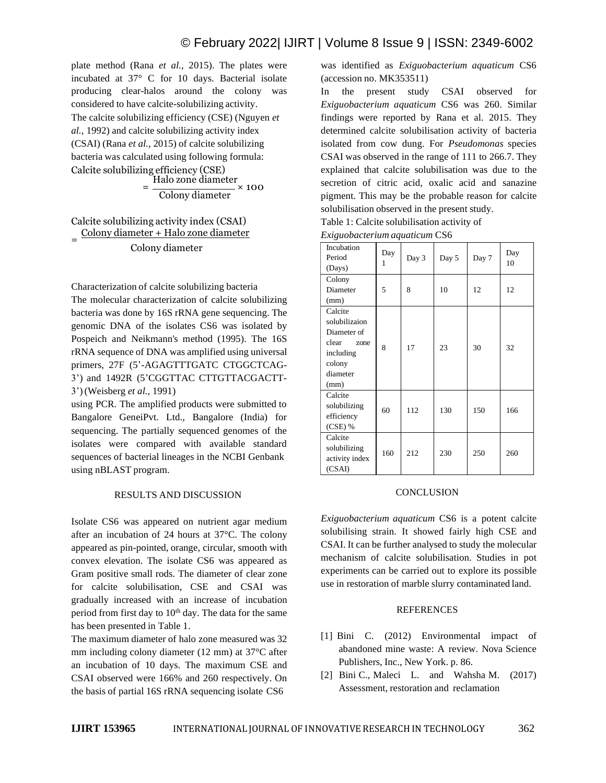plate method (Rana *et al.,* 2015). The plates were incubated at 37° C for 10 days. Bacterial isolate producing clear-halos around the colony was considered to have calcite-solubilizing activity. The calcite solubilizing efficiency (CSE) (Nguyen *et al.,* 1992) and calcite solubilizing activity index (CSAI) (Rana *et al.,* 2015) of calcite solubilizing bacteria was calculated using following formula: Calcite solubilizing efficiency (CSE)

$$
= \frac{\text{Halo zone diameter}}{\text{Colony diameter}} \times 100
$$

#### Calcite solubilizing activity index (CSAI) = Colony diameter + Halo zone diameter Colony diameter

Characterization of calcite solubilizing bacteria

The molecular characterization of calcite solubilizing bacteria was done by 16S rRNA gene sequencing. The genomic DNA of the isolates CS6 was isolated by Pospeich and Neikmann's method (1995). The 16S rRNA sequence of DNA was amplified using universal primers, 27F (5'-AGAGTTTGATC CTGGCTCAG-3') and 1492R (5'CGGTTAC CTTGTTACGACTT-3')(Weisberg *et al.,* 1991)

using PCR. The amplified products were submitted to Bangalore GeneiPvt. Ltd., Bangalore (India) for sequencing. The partially sequenced genomes of the isolates were compared with available standard sequences of bacterial lineages in the NCBI Genbank using nBLAST program.

## RESULTS AND DISCUSSION

Isolate CS6 was appeared on nutrient agar medium after an incubation of 24 hours at 37°C. The colony appeared as pin-pointed, orange, circular, smooth with convex elevation. The isolate CS6 was appeared as Gram positive small rods. The diameter of clear zone for calcite solubilisation, CSE and CSAI was gradually increased with an increase of incubation period from first day to 10<sup>th</sup> day. The data for the same has been presented in Table 1.

The maximum diameter of halo zone measured was 32 mm including colony diameter (12 mm) at 37°C after an incubation of 10 days. The maximum CSE and CSAI observed were 166% and 260 respectively. On the basis of partial 16S rRNA sequencing isolate CS6

was identified as *Exiguobacterium aquaticum* CS6 (accession no. MK353511)

In the present study CSAI observed for *Exiguobacterium aquaticum* CS6 was 260. Similar findings were reported by Rana et al. 2015. They determined calcite solubilisation activity of bacteria isolated from cow dung. For *Pseudomonas* species CSAI was observed in the range of 111 to 266.7. They explained that calcite solubilisation was due to the secretion of citric acid, oxalic acid and sanazine pigment. This may be the probable reason for calcite solubilisation observed in the present study.

Table 1: Calcite solubilisation activity of

| Exiguobacterium aquaticum CS6 |  |  |
|-------------------------------|--|--|
|-------------------------------|--|--|

| Incubation<br>Period | Day<br>1 | Day 3 | Day 5 | Day 7 | Day<br>10 |
|----------------------|----------|-------|-------|-------|-----------|
| (Days)               |          |       |       |       |           |
| Colony               |          |       |       |       |           |
| Diameter             | 5        | 8     | 10    | 12    | 12        |
| (mm)                 |          |       |       |       |           |
| Calcite              |          |       |       |       |           |
| solubilizaion        |          |       |       |       |           |
| Diameter of          |          |       |       |       |           |
| clear<br>zone        | 8        | 17    | 23    | 30    | 32        |
| including            |          |       |       |       |           |
| colony               |          |       |       |       |           |
| diameter             |          |       |       |       |           |
| (mm)                 |          |       |       |       |           |
| Calcite              |          |       |       |       |           |
| solubilizing         | 60       | 112   | 130   | 150   | 166       |
| efficiency           |          |       |       |       |           |
| $(CSE)$ %            |          |       |       |       |           |
| Calcite              |          |       |       |       |           |
| solubilizing         | 160      | 212   | 230   | 250   | 260       |
| activity index       |          |       |       |       |           |
| (CSAI)               |          |       |       |       |           |

### **CONCLUSION**

*Exiguobacterium aquaticum* CS6 is a potent calcite solubilising strain. It showed fairly high CSE and CSAI. It can be further analysed to study the molecular mechanism of calcite solubilisation. Studies in pot experiments can be carried out to explore its possible use in restoration of marble slurry contaminated land.

## REFERENCES

- [1] Bini C. (2012) Environmental impact of abandoned mine waste: A review. Nova Science Publishers, Inc., New York. p. 86.
- [2] Bini C., Maleci L. and Wahsha M. (2017) Assessment, restoration and reclamation